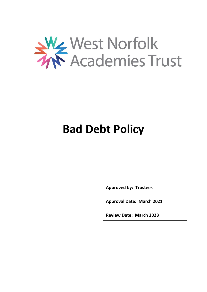

# **Bad Debt Policy**

**Approved by: Trustees**

**Approval Date: March 2021**

**Review Date: March 2023**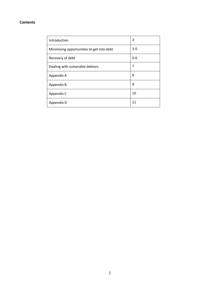## **Contents**

| Introduction                              | 3     |
|-------------------------------------------|-------|
| Minimising opportunities to get into debt | $3-5$ |
| Recovery of debt                          | $5-6$ |
| Dealing with vulnerable debtors           | 7     |
| Appendix A                                | 8     |
| Appendix B                                | 9     |
| Appendix C                                | 10    |
| Appendix D                                | 11    |
|                                           |       |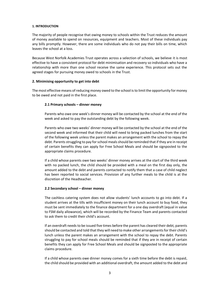#### **1. INTRODUCTION**

The majority of people recognise that owing money to schools within the Trust reduces the amount of money available to spend on resources, equipment and teachers. Most of these individuals pay any bills promptly. However, there are some individuals who do not pay their bills on time, which leaves the school at a loss.

Because West Norfolk Academies Trust operates across a selection of schools, we believe it is most effective to have a consistent protocol for debt minimisation and recovery so individuals who have a relationship with more than one school receive the same experience. This protocol sets out the agreed stages for pursuing money owed to schools in the Trust.

#### **2. Minimising opportunity to get into debt**

The most effective means of reducing money owed to the school is to limit the opportunity for money to be owed and not paid in the first place.

#### **2.1 Primary schools – dinner money**

Parents who owe one week's dinner money will be contacted by the school at the end of the week and asked to pay the outstanding debt by the following week.

Parents who owe two weeks' dinner money will be contacted by the school at the end of the second week and informed that their child will need to bring packed lunches from the start of the following week unless the parent makes an arrangement with the school to repay the debt. Parents struggling to pay for school meals should be reminded that if they are in receipt of certain benefits they can apply for Free School Meals and should be signposted to the appropriate claims procedure.

If a child whose parents owe two weeks' dinner money arrives at the start of the third week with no packed lunch, the child should be provided with a meal on the first day only, the amount added to the debt and parents contacted to notify them that a case of child neglect has been reported to social services. Provision of any further meals to the child is at the discretion of the Headteacher.

## **2.2 Secondary school – dinner money**

The cashless catering system does not allow students' lunch accounts to go into debt. If a student arrives at the tills with insufficient money on their lunch account to buy food, they must be sent immediately to the finance department for a one day overdraft (equal in value to FSM daily allowance), which will be recorded by the Finance Team and parents contacted to ask them to credit their child's account.

If an overdraft needs to be issued five times before the parent has cleared their debt, parents should be contacted and told that they will need to make other arrangements for their child's lunch unless the parent makes an arrangement with the school to repay the debt. Parents struggling to pay for school meals should be reminded that if they are in receipt of certain benefits they can apply for Free School Meals and should be signposted to the appropriate claims procedure.

If a child whose parents owe dinner money comes for a sixth time before the debt is repaid, the child should be provided with an additional overdraft, the amount added to the debt and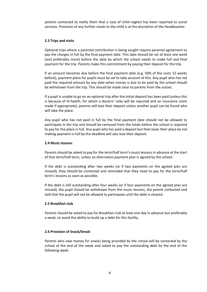parents contacted to notify them that a case of child neglect has been reported to social services. Provision of any further meals to the child is at the discretion of the Headteacher.

## **2.3 Trips and visits**

Optional trips where a parental contribution is being sought require parental agreement to pay the charges in full by the final payment date. This date should be set *at least one week* (and preferably more) before the date by which the school needs to make full and final payment for the trip. Parents make this commitment by paying their deposit for the trip.

If an amount becomes due before the final payment date (e.g. 50% of the costs 12 weeks before), payment plans for pupils must be set to take account of this. Any pupil who has not paid the required amount by any date when money is due to be paid by the school should be withdrawn from the trip. This should be made clear to parents from the outset.

If a pupil is unable to go on an optional trip after the initial deposit has been paid (unless this is because of ill-health, for which a doctors' note will be required and an insurance claim made if appropriate), parents will lose their deposit unless another pupil can be found who will take the place.

Any pupil who has not paid in full by the final payment date should not be allowed to participate in the trip and should be removed from the totals before the school is required to pay for the place in full. Any pupil who has paid a deposit but then loses their place by not making payment in full by the deadline will also lose their deposit.

#### **2.4 Music lessons**

Parents should be asked to pay for the term/half term's music lessons in advance at the start of that term/half term, unless an alternative payment plan is agreed by the school.

If the debt is outstanding after two weeks (or if two payments on the agreed plan are missed), they should be contacted and reminded that they need to pay for the term/half term's lessons as soon as possible.

If the debt is still outstanding after four weeks (or if four payments on the agreed plan are missed), the pupil should be withdrawn from the music lessons, the parent contacted and told that the pupil will not be allowed to participate until the debt is cleared.

#### **2.5 Breakfast club**

Parents should be asked to pay for Breakfast club at least one day in advance but preferably a week, to avoid the ability to build up a debt for this facility.

## **2.6 Provision of Snack/break**

Parents who owe money for snacks being provided by the school will be contacted by the school at the end of the week and asked to pay the outstanding debt by the end of the following week.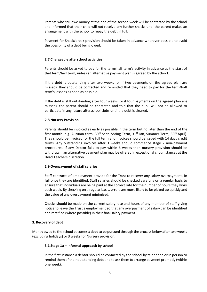Parents who still owe money at the end of the second week will be contacted by the school and informed that their child will not receive any further snacks until the parent makes an arrangement with the school to repay the debt in full.

Payment for Snack/break provision should be taken in advance wherever possible to avoid the possibility of a debt being owed.

## **2.7 Chargeable afterschool activities**

Parents should be asked to pay for the term/half term's activity in advance at the start of that term/half term, unless an alternative payment plan is agreed by the school.

If the debt is outstanding after two weeks (or if two payments on the agreed plan are missed), they should be contacted and reminded that they need to pay for the term/half term's lessons as soon as possible.

If the debt is still outstanding after four weeks (or if four payments on the agreed plan are missed), the parent should be contacted and told that the pupil will not be allowed to participate in any future afterschool clubs until the debt is cleared.

## **2.8 Nursery Provision**

Parents should be invoiced as early as possible in the term but no later than the end of the first month (e.g. Autumn term,  $30<sup>th</sup>$  Sept, Spring Term,  $31<sup>st</sup>$  Jan, Summer Term,  $30<sup>th</sup>$  April). They should be invoiced for the full term and Invoices should be issued with 14 days credit terms. Any outstanding invoices after 3 weeks should commence stage 2 non-payment procedures. If any Debtor fails to pay within 6 weeks then nursery provision should be withdrawn, an alternative payment plan may be offered in exceptional circumstances at the Head Teachers discretion.

## **2.9 Overpayment of staff salaries**

Staff contracts of employment provide for the Trust to recover any salary overpayments in full once they are identified. Staff salaries should be checked carefully on a regular basis to ensure that individuals are being paid at the correct rate for the number of hours they work each week. By checking on a regular basis, errors are more likely to be picked up quickly and the value of any overpayment minimised.

Checks should be made on the current salary rate and hours of any member of staff giving notice to leave the Trust's employment so that any overpayment of salary can be identified and rectified (where possible) in their final salary payment.

## **3. Recovery of debt**

Money owed to the school becomes a debt to be pursued through the process below after two weeks (excluding holidays) or 3 weeks for Nursery provision.

## **3.1 Stage 1a – informal approach by school**

In the first instance a debtor should be contacted by the school by telephone or in person to remind them of their outstanding debt and to ask them to arrange payment promptly (within one week).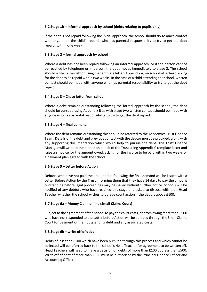## **3.2 Stage 1b – informal approach by school (debts relating to pupils only)**

If the debt is not repaid following the initial approach, the school should try to make contact with anyone on the child's records who has parental responsibility to try to get the debt repaid (within one week).

## **3.3 Stage 2 – formal approach by school**

Where a debt has not been repaid following an informal approach, or if the person cannot be reached by telephone or in person, the debt moves immediately to stage 2. The school should write to the debtor using the template letter (Appendix A) on school letterhead asking for the debt to be repaid within two weeks. In the case of a child attending the school, written contact should be made with anyone who has parental responsibility to try to get the debt repaid.

## **3.4 Stage 3 – Chase letter from school**

Where a debt remains outstanding following the formal approach by the school, the debt should be pursued using Appendix B as with stage two written contact should be made with anyone who has parental responsibility to try to get the debt repaid.

## **3.5 Stage 4 – final demand**

Where the debt remains outstanding this should be referred to the Academies Trust Finance Team. Details of the debt and previous contact with the debtor must be provided, along with any supporting documentation which would help to pursue the debt. The Trust Finance Manager will write to the debtor on behalf of the Trust using Appendix C template letter and raise an invoice for the amount owed, asking for the invoice to be paid within two weeks or a payment plan agreed with the school.

## **3.6 Stage 5 – Letter before Action**

Debtors who have not paid the amount due following the final demand will be issued with a Letter Before Action by the Trust informing them that they have 14 days to pay the amount outstanding before legal proceedings may be issued without further notice. Schools will be notified of any debtors who have reached this stage and asked to discuss with their Head Teacher whether the school wishes to pursue court action if the debt is above £100.

## **3.7 Stage 6a – Money Claim online (Small Claims Court)**

Subject to the agreement of the school to pay the court costs, debtors owing more than £500 who have not responded to the Letter before Action will be pursued through the Small Claims Court for payment of their outstanding debt and any associated costs.

## **3.8 Stage 6b – write off of debt**

Debts of less than £100 which have been pursued through this process and which cannot be collected will be referred back to the school's Head Teacher for agreement to be written off. Head Teachers will need to make a decision on debts of more than £100 but less than £500. Write off of debt of more than £500 must be authorised by the Principal Finance Officer and Accounting Officer.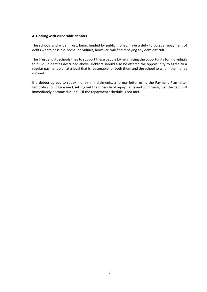#### **4. Dealing with vulnerable debtors**

The schools and wider Trust, being funded by public money, have a duty to pursue repayment of debts where possible. Some individuals, however, will find repaying any debt difficult.

The Trust and its schools tries to support these people by minimising the opportunity for individuals to build up debt as described above. Debtors should also be offered the opportunity to agree to a regular payment plan at a level that is reasonable for both them and the school to whom the money is owed.

If a debtor agrees to repay money in instalments, a formal letter using the Payment Plan letter template should be issued, setting out the schedule of repayments and confirming that the debt will immediately become due in full if the repayment schedule is not met.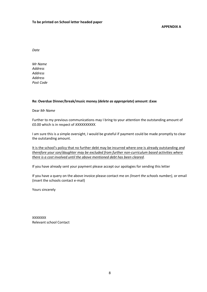**APPENDIX A**

*Date*

*Mr Name Address Address Address Post Code*

## **Re: Overdue Dinner/break/music money** *(delete as appropriate***) amount :£xxx**

Dear *Mr Name*

Further to my previous communications may I bring to your attention the outstanding amount of £0.00 which is in respect of *XXXXXXXXXX.*

I am sure this is a simple oversight, I would be grateful if payment could be made promptly to clear the outstanding amount.

It is the school's policy that no further debt may be incurred where one is already outstanding *and therefore your son/daughter may be excluded from further non-curriculum based activities where there is a cost involved until the above mentioned debt has been cleared.*

If you have already sent your payment please accept our apologies for sending this letter

If you have a query on the above invoice please contact me on *(Insert the schools number),* or email (insert the schools contact e-mail)

Yours sincerely

XXXXXXX Relevant school Contact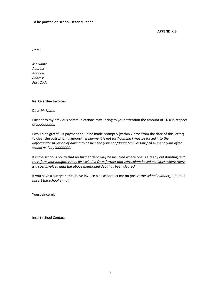#### **To be printed on school Headed Paper**

**APPENDIX B**

*Date*

*Mr Name Address Address Address Post Code*

#### **Re: Overdue Invoices**

Dear *Mr Name*

Further to my previous communications may I bring to your attention the amount of £0.0 in respect of *XXXXXXXXX.*

I would be grateful if payment could be made promptly (within 7 days from the date of this letter) to clear the outstanding amount. *If payment is not forthcoming I may be forced into the unfortunate situation of having to a) suspend your son/daughters' lessons/ b) suspend your after school activity XXXXXXXX*

It is the school's policy that no further debt may be incurred where one is already outstanding *and therefore your daughter may be excluded from further non-curriculum based activities where there is a cost involved until the above mentioned debt has been cleared.*

If you have a query on the above invoice please contact me on *(insert the school number),* or email *(insert the school e-mail)*

Yours sincerely

Insert school Contact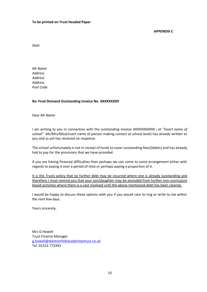#### **To be printed on Trust Headed Paper**

#### **APPENDIX C**

*Date*

*Mr Name Address Address Address Post Code*

## **Re: Final Demand Outstanding Invoice No.** *XXXXXXXXX*

Dear *Mr Name*

I am writing to you in connection with the outstanding invoice *XXXXXXXXXXX . at "Insert name of school" Mr/Mrs/Miss*(insert name of person making contact at school level) has already written to you and as yet has received no response.

The school unfortunately is not in receipt of funds to cover outstanding fees/(debts*)* and has already had to pay for the provisions that we have provided.

If you are having financial difficulties then perhaps we can come to some arrangement either with regards to paying it over a period of time or perhaps paying a proportion of it.

It is the Trusts policy that no further debt may be incurred where one is already outstanding and therefore I must remind you that your son/daughter may be excluded from further non-curriculum based activities where there is a cost involved until the above mentioned debt has been cleared.

I would be happy to discuss these options with you if you would care to ring or write to me within the next few days.

Yours sincerely,

Mrs G Howell Trust Finance Manager [g.howell@westnorfolkacademiestrust.co.uk](mailto:g.banthorpe@westnorfolkacademiestrust.co.uk) Tel: 01553 773393